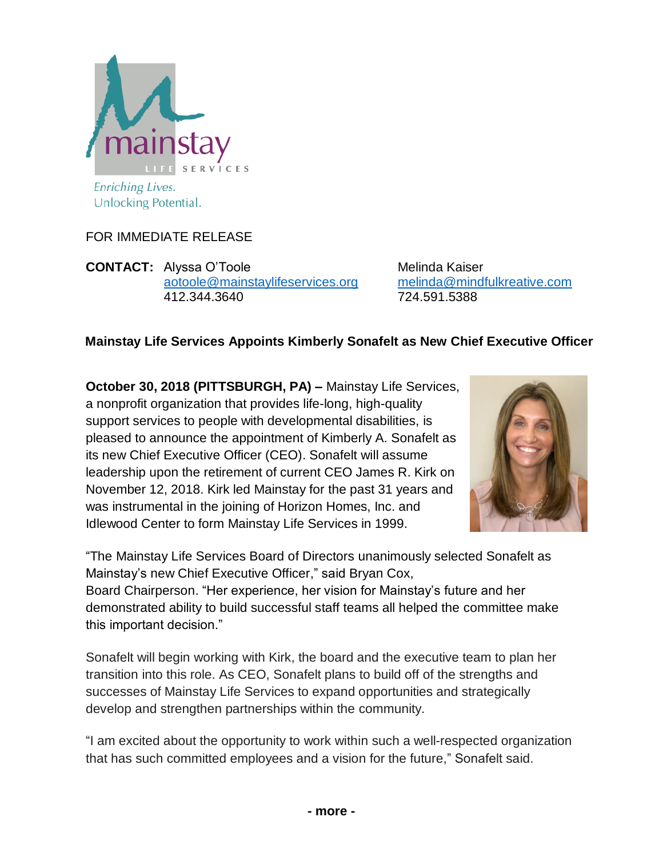

FOR IMMEDIATE RELEASE

**CONTACT:** Alyssa O'Toole Melinda Kaiser [aotoole@mainstaylifeservices.org](mailto:aotoole@mainstaylifeservices.org) [melinda@mindfulkreative.com](mailto:melinda@mindfulkreative.com) 412.344.3640 724.591.5388

## **Mainstay Life Services Appoints Kimberly Sonafelt as New Chief Executive Officer**

**October 30, 2018 (PITTSBURGH, PA) –** Mainstay Life Services, a nonprofit organization that provides life-long, high-quality support services to people with developmental disabilities, is pleased to announce the appointment of Kimberly A. Sonafelt as its new Chief Executive Officer (CEO). Sonafelt will assume leadership upon the retirement of current CEO James R. Kirk on November 12, 2018. Kirk led Mainstay for the past 31 years and was instrumental in the joining of Horizon Homes, Inc. and Idlewood Center to form Mainstay Life Services in 1999.



"The Mainstay Life Services Board of Directors unanimously selected Sonafelt as Mainstay's new Chief Executive Officer," said Bryan Cox, Board Chairperson. "Her experience, her vision for Mainstay's future and her demonstrated ability to build successful staff teams all helped the committee make

this important decision."

Sonafelt will begin working with Kirk, the board and the executive team to plan her transition into this role. As CEO, Sonafelt plans to build off of the strengths and successes of Mainstay Life Services to expand opportunities and strategically develop and strengthen partnerships within the community.

"I am excited about the opportunity to work within such a well-respected organization that has such committed employees and a vision for the future," Sonafelt said.